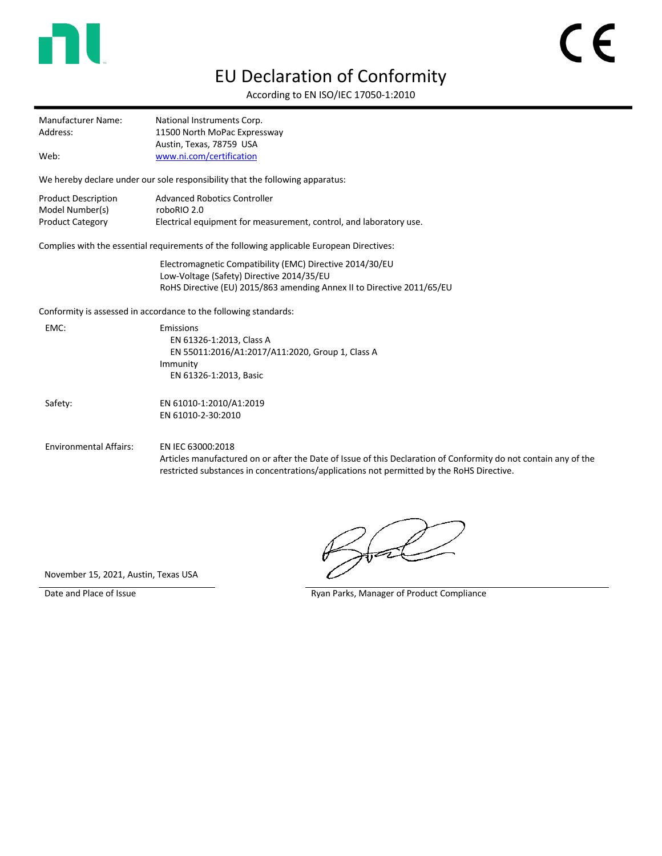

## EU Declaration of Conformity

 $\epsilon$ 

According to EN ISO/IEC 17050-1:2010

| Manufacturer Name: | National Instruments Corp.   |
|--------------------|------------------------------|
| Address:           | 11500 North MoPac Expressway |
|                    | Austin, Texas, 78759 USA     |
| Web:               | www.ni.com/certification     |

We hereby declare under our sole responsibility that the following apparatus:

| <b>Product Description</b> | Advanced Robotics Controller                                       |
|----------------------------|--------------------------------------------------------------------|
| Model Number(s)            | roboRIO 2.0                                                        |
| <b>Product Category</b>    | Electrical equipment for measurement, control, and laboratory use. |

Complies with the essential requirements of the following applicable European Directives:

Electromagnetic Compatibility (EMC) Directive 2014/30/EU Low-Voltage (Safety) Directive 2014/35/EU RoHS Directive (EU) 2015/863 amending Annex II to Directive 2011/65/EU

Conformity is assessed in accordance to the following standards:

| EMC:                          | Emissions<br>EN 61326-1:2013, Class A<br>EN 55011:2016/A1:2017/A11:2020, Group 1, Class A<br>Immunity<br>EN 61326-1:2013, Basic                                                                                                   |
|-------------------------------|-----------------------------------------------------------------------------------------------------------------------------------------------------------------------------------------------------------------------------------|
| Safety:                       | EN 61010-1:2010/A1:2019<br>EN 61010-2-30:2010                                                                                                                                                                                     |
| <b>Environmental Affairs:</b> | EN IEC 63000:2018<br>Articles manufactured on or after the Date of Issue of this Declaration of Conformity do not contain any of the<br>restricted substances in concentrations/applications not permitted by the RoHS Directive. |

November 15, 2021, Austin, Texas USA

Date and Place of Issue **Ryan Parks, Manager of Product Compliance** Ryan Parks, Manager of Product Compliance